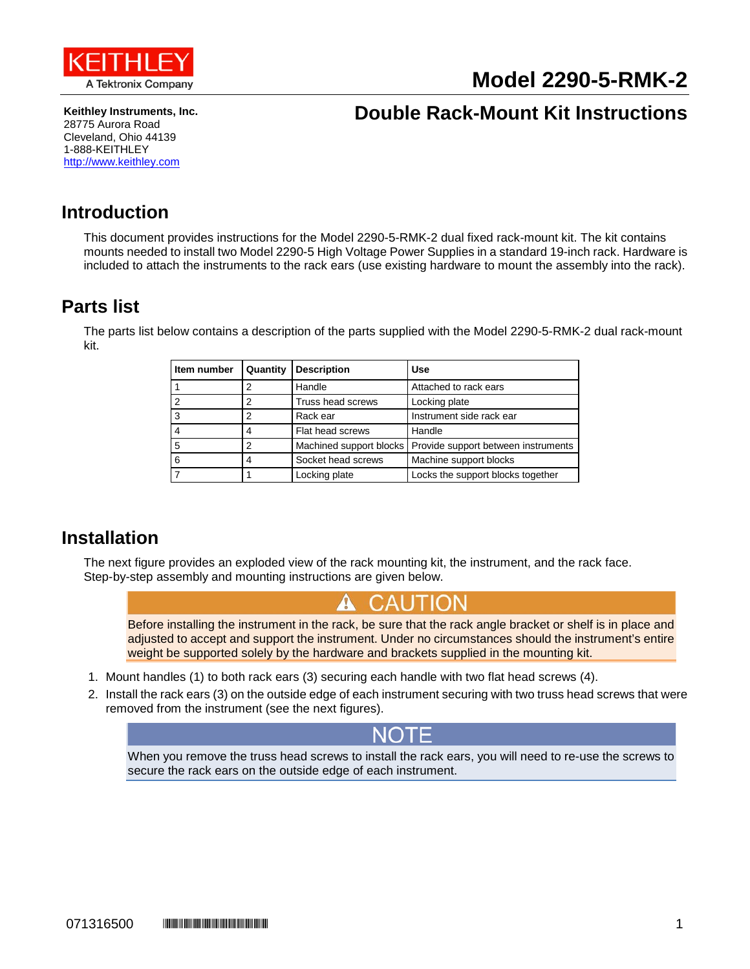

# **Model 2290-5-RMK-2**

**Keithley Instruments, Inc.** 28775 Aurora Road Cleveland, Ohio 44139 1-888-KEITHLEY [http://www.keithley.com](http://www.keithley.com/)

## **Double Rack-Mount Kit Instructions**

#### **Introduction**

This document provides instructions for the Model 2290-5-RMK-2 dual fixed rack-mount kit. The kit contains mounts needed to install two Model 2290-5 High Voltage Power Supplies in a standard 19-inch rack. Hardware is included to attach the instruments to the rack ears (use existing hardware to mount the assembly into the rack).

### <span id="page-0-0"></span>**Parts list**

The parts list below contains a description of the parts supplied with the Model 2290-5-RMK-2 dual rack-mount kit.

| Item number | Quantity | <b>Description</b>      | Use                                 |
|-------------|----------|-------------------------|-------------------------------------|
|             | 2        | Handle                  | Attached to rack ears               |
|             | 2        | Truss head screws       | Locking plate                       |
|             | 2        | Rack ear                | Instrument side rack ear            |
|             | 4        | Flat head screws        | Handle                              |
| 5           | 2        | Machined support blocks | Provide support between instruments |
| 6           | 4        | Socket head screws      | Machine support blocks              |
|             |          | Locking plate           | Locks the support blocks together   |

#### **Installation**

The next figure provides an exploded view of the rack mounting kit, the instrument, and the rack face. Step-by-step assembly and mounting instructions are given below.



Before installing the instrument in the rack, be sure that the rack angle bracket or shelf is in place and adjusted to accept and support the instrument. Under no circumstances should the instrument's entire weight be supported solely by the hardware and brackets supplied in the mounting kit.

- 1. Mount handles (1) to both rack ears (3) securing each handle with two flat head screws (4).
- 2. Install the rack ears (3) on the outside edge of each instrument securing with two truss head screws that were removed from the instrument (see the next figures).



When you remove the truss head screws to install the rack ears, you will need to re-use the screws to secure the rack ears on the outside edge of each instrument.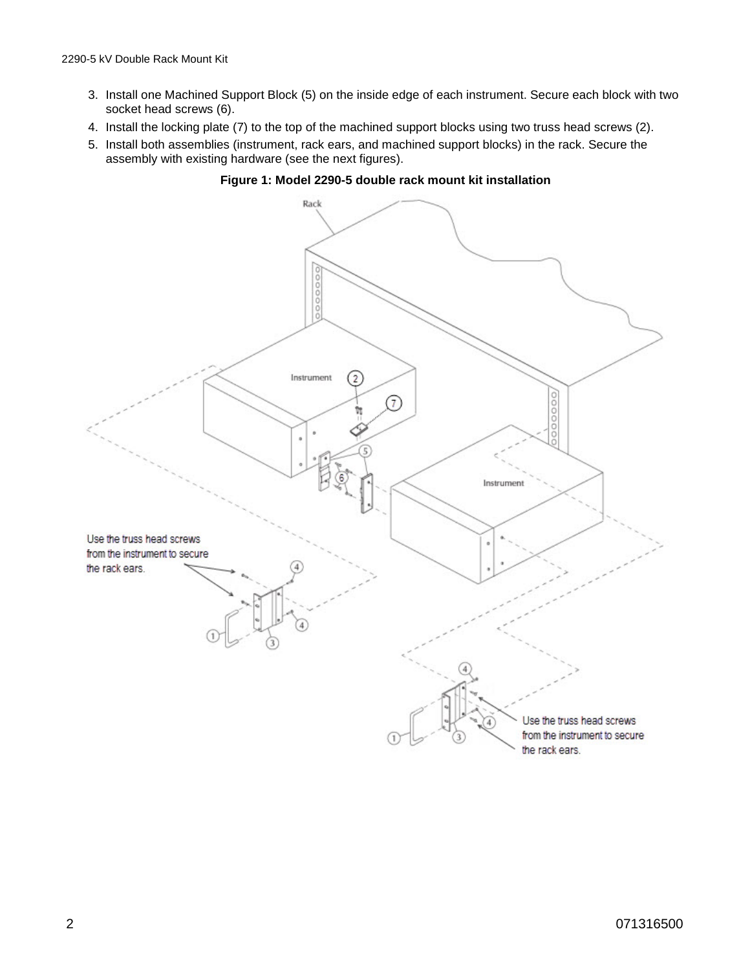- 3. Install one Machined Support Block (5) on the inside edge of each instrument. Secure each block with two socket head screws (6).
- 4. Install the locking plate (7) to the top of the machined support blocks using two truss head screws (2).
- 5. Install both assemblies (instrument, rack ears, and machined support blocks) in the rack. Secure the assembly with existing hardware (see the next figures).



**Figure 1: Model 2290-5 double rack mount kit installation**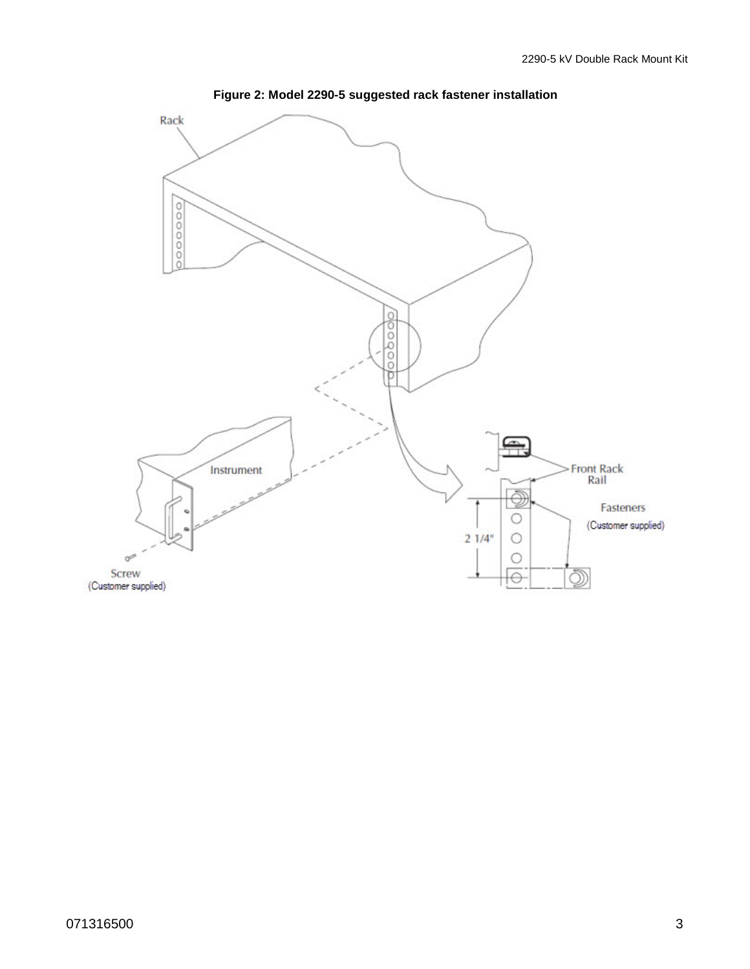

**Figure 2: Model 2290-5 suggested rack fastener installation**